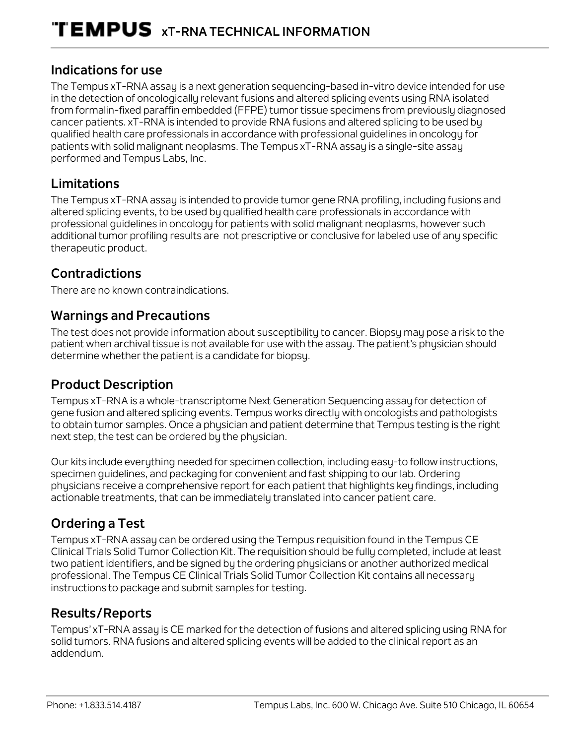#### **Indications for use**

The Tempus xT-RNA assay is a next generation sequencing-based in-vitro device intended for use in the detection of oncologically relevant fusions and altered splicing events using RNA isolated from formalin-fixed paraffin embedded (FFPE) tumor tissue specimens from previously diagnosed cancer patients. xT-RNA is intended to provide RNA fusions and altered splicing to be used by qualified health care professionals in accordance with professional guidelines in oncology for patients with solid malignant neoplasms. The Tempus xT-RNA assay is a single-site assay performed and Tempus Labs, Inc.

### **Limitations**

The Tempus xT-RNA assay is intended to provide tumor gene RNA profiling, including fusions and altered splicing events, to be used by qualified health care professionals in accordance with professional guidelines in oncology for patients with solid malignant neoplasms, however such additional tumor profiling results are not prescriptive or conclusive for labeled use of any specific therapeutic product.

## **Contradictions**

There are no known contraindications.

### **Warnings and Precautions**

The test does not provide information about susceptibility to cancer. Biopsy may pose a risk to the patient when archival tissue is not available for use with the assay. The patient's phusician should determine whether the patient is a candidate for biopsy.

## **Product Description**

Tempus xT-RNA is a whole-transcriptome Next Generation Sequencing assay for detection of gene fusion and altered splicing events. Tempus works directly with oncologists and pathologists to obtain tumor samples. Once a physician and patient determine that Tempus testing is the right next step, the test can be ordered by the physician.

Our kits include everything needed for specimen collection, including easy-to follow instructions, specimen guidelines, and packaging for convenient and fast shipping to our lab. Ordering physicians receive a comprehensive report for each patient that highlights key findings, including actionable treatments, that can be immediately translated into cancer patient care.

# **Ordering a Test**

Tempus xT-RNA assay can be ordered using the Tempus requisition found in the Tempus CE Clinical Trials Solid Tumor Collection Kit. The requisition should be fully completed, include at least two patient identifiers, and be signed by the ordering physicians or another authorized medical professional. The Tempus CE Clinical Trials Solid Tumor Collection Kit contains all necessary instructions to package and submit samples for testing.

## **Results/Reports**

Tempus' xT-RNA assay is CE marked for the detection of fusions and altered splicing using RNA for solid tumors. RNA fusions and altered splicing events will be added to the clinical report as an addendum.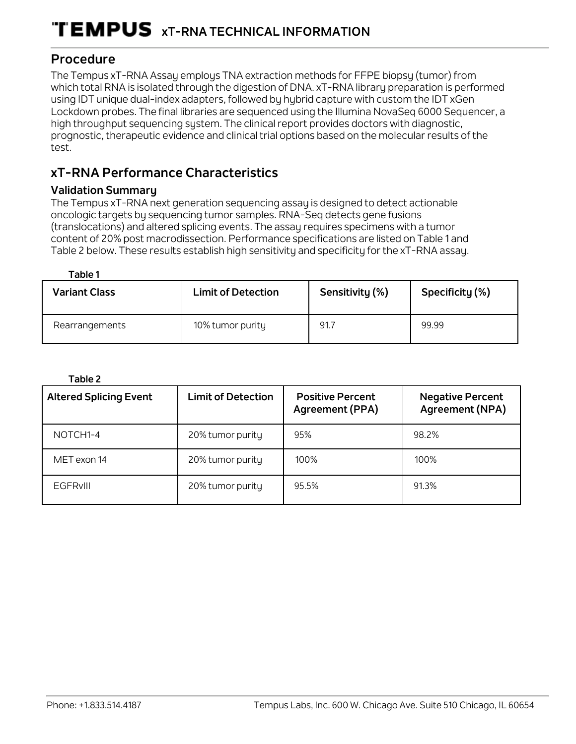#### **Procedure**

The Tempus xT-RNA Assay employs TNA extraction methods for FFPE biopsy (tumor) from which total RNA is isolated through the digestion of DNA. xT-RNA library preparation is performed using IDT unique dual-index adapters, followed by hybrid capture with custom the IDT xGen Lockdown probes. The final libraries are sequenced using the Illumina NovaSeq 6000 Sequencer, a high throughput sequencing system. The clinical report provides doctors with diagnostic, prognostic, therapeutic evidence and clinical trial options based on the molecular results of the test.

# **xT-RNA Performance Characteristics**

#### **Validation Summary**

The Tempus xT-RNA next generation sequencing assay is designed to detect actionable oncologic targets by sequencing tumor samples. RNA-Seq detects gene fusions (translocations) and altered splicing events. The assay requires specimens with a tumor content of 20% post macrodissection. Performance specifications are listed on Table 1 and Table 2 below. These results establish high sensitivity and specificity for the xT-RNA assay.

#### **Table 1**

| <b>Variant Class</b> | <b>Limit of Detection</b> | Sensitivity (%) | Specificity (%) |
|----------------------|---------------------------|-----------------|-----------------|
| Rearrangements       | 10% tumor purity          | 91.7            | 99.99           |

| u |  |
|---|--|
|---|--|

| <b>Altered Splicing Event</b> | <b>Limit of Detection</b> | <b>Positive Percent</b><br>Agreement (PPA) | <b>Negative Percent</b><br>Agreement (NPA) |
|-------------------------------|---------------------------|--------------------------------------------|--------------------------------------------|
| NOTCH <sub>1</sub> -4         | 20% tumor purity          | 95%                                        | 98.2%                                      |
| MET exon 14                   | 20% tumor purity          | 100%                                       | 100%                                       |
| <b>EGFRVIII</b>               | 20% tumor purity          | 95.5%                                      | 91.3%                                      |